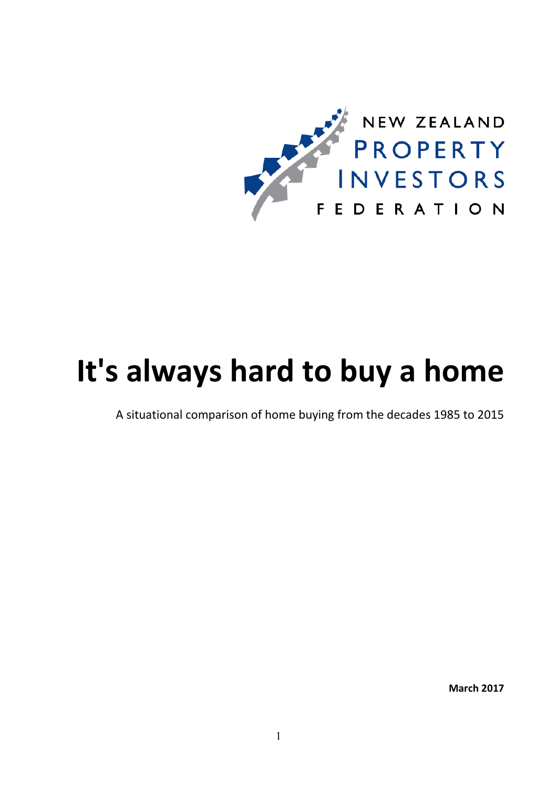

# It's always hard to buy a home

A situational comparison of home buying from the decades 1985 to 2015

March 2017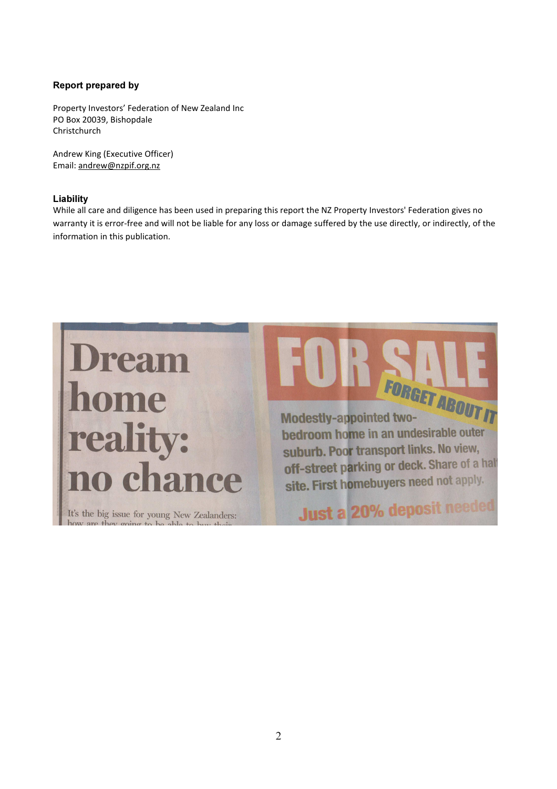#### Report prepared by

Property Investors' Federation of New Zealand Inc PO Box 20039, Bishopdale Christchurch

Andrew King (Executive Officer) Email: andrew@nzpif.org.nz

#### Liability

While all care and diligence has been used in preparing this report the NZ Property Investors' Federation gives no warranty it is error-free and will not be liable for any loss or damage suffered by the use directly, or indirectly, of the information in this publication.

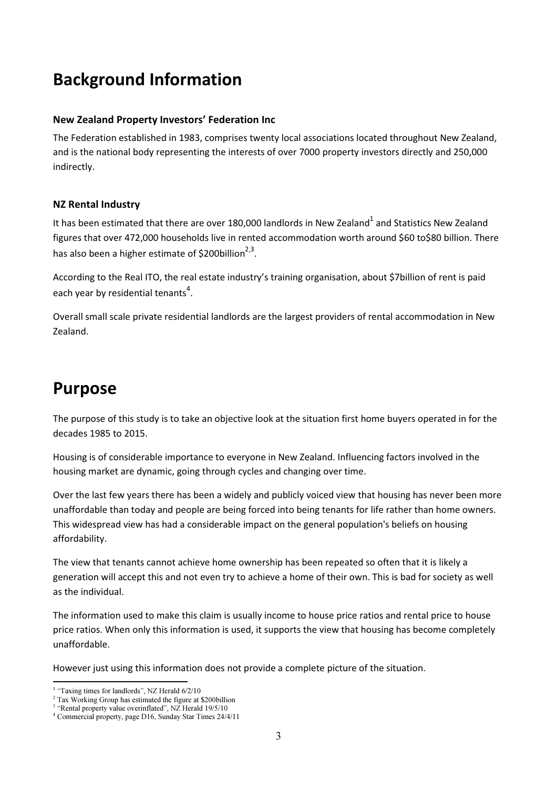### Background Information

#### New Zealand Property Investors' Federation Inc

The Federation established in 1983, comprises twenty local associations located throughout New Zealand, and is the national body representing the interests of over 7000 property investors directly and 250,000 indirectly.

#### NZ Rental Industry

It has been estimated that there are over 180,000 landlords in New Zealand $^{\text{1}}$  and Statistics New Zealand figures that over 472,000 households live in rented accommodation worth around \$60 to\$80 billion. There has also been a higher estimate of \$200billion<sup>2,3</sup>.

According to the Real ITO, the real estate industry's training organisation, about \$7billion of rent is paid each year by residential tenants<sup>4</sup>.

Overall small scale private residential landlords are the largest providers of rental accommodation in New Zealand.

### Purpose

The purpose of this study is to take an objective look at the situation first home buyers operated in for the decades 1985 to 2015.

Housing is of considerable importance to everyone in New Zealand. Influencing factors involved in the housing market are dynamic, going through cycles and changing over time.

Over the last few years there has been a widely and publicly voiced view that housing has never been more unaffordable than today and people are being forced into being tenants for life rather than home owners. This widespread view has had a considerable impact on the general population's beliefs on housing affordability.

The view that tenants cannot achieve home ownership has been repeated so often that it is likely a generation will accept this and not even try to achieve a home of their own. This is bad for society as well as the individual.

The information used to make this claim is usually income to house price ratios and rental price to house price ratios. When only this information is used, it supports the view that housing has become completely unaffordable.

However just using this information does not provide a complete picture of the situation.

 $\overline{\phantom{0}}$ <sup>1</sup> "Taxing times for landlords", NZ Herald 6/2/10

<sup>&</sup>lt;sup>2</sup> Tax Working Group has estimated the figure at \$200billion

<sup>&</sup>lt;sup>3</sup> "Rental property value overinflated", NZ Herald 19/5/10

<sup>4</sup> Commercial property, page D16, Sunday Star Times 24/4/11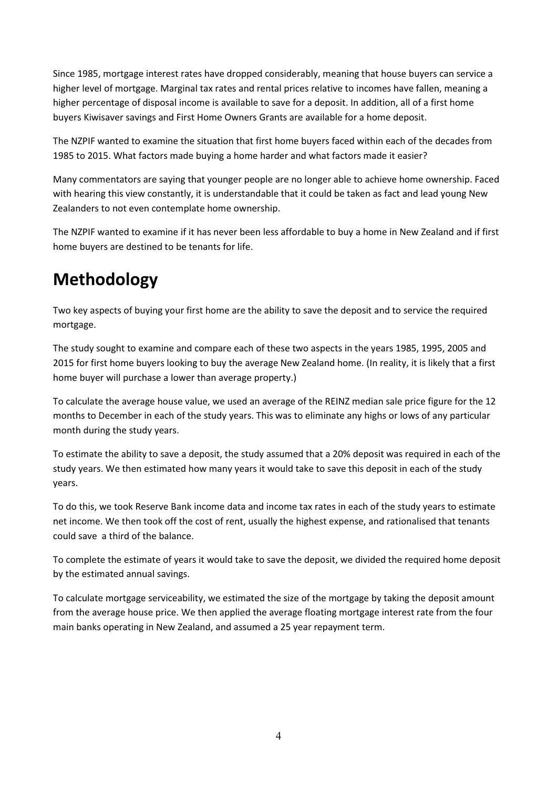Since 1985, mortgage interest rates have dropped considerably, meaning that house buyers can service a higher level of mortgage. Marginal tax rates and rental prices relative to incomes have fallen, meaning a higher percentage of disposal income is available to save for a deposit. In addition, all of a first home buyers Kiwisaver savings and First Home Owners Grants are available for a home deposit.

The NZPIF wanted to examine the situation that first home buyers faced within each of the decades from 1985 to 2015. What factors made buying a home harder and what factors made it easier?

Many commentators are saying that younger people are no longer able to achieve home ownership. Faced with hearing this view constantly, it is understandable that it could be taken as fact and lead young New Zealanders to not even contemplate home ownership.

The NZPIF wanted to examine if it has never been less affordable to buy a home in New Zealand and if first home buyers are destined to be tenants for life.

## Methodology

Two key aspects of buying your first home are the ability to save the deposit and to service the required mortgage.

The study sought to examine and compare each of these two aspects in the years 1985, 1995, 2005 and 2015 for first home buyers looking to buy the average New Zealand home. (In reality, it is likely that a first home buyer will purchase a lower than average property.)

To calculate the average house value, we used an average of the REINZ median sale price figure for the 12 months to December in each of the study years. This was to eliminate any highs or lows of any particular month during the study years.

To estimate the ability to save a deposit, the study assumed that a 20% deposit was required in each of the study years. We then estimated how many years it would take to save this deposit in each of the study years.

To do this, we took Reserve Bank income data and income tax rates in each of the study years to estimate net income. We then took off the cost of rent, usually the highest expense, and rationalised that tenants could save a third of the balance.

To complete the estimate of years it would take to save the deposit, we divided the required home deposit by the estimated annual savings.

To calculate mortgage serviceability, we estimated the size of the mortgage by taking the deposit amount from the average house price. We then applied the average floating mortgage interest rate from the four main banks operating in New Zealand, and assumed a 25 year repayment term.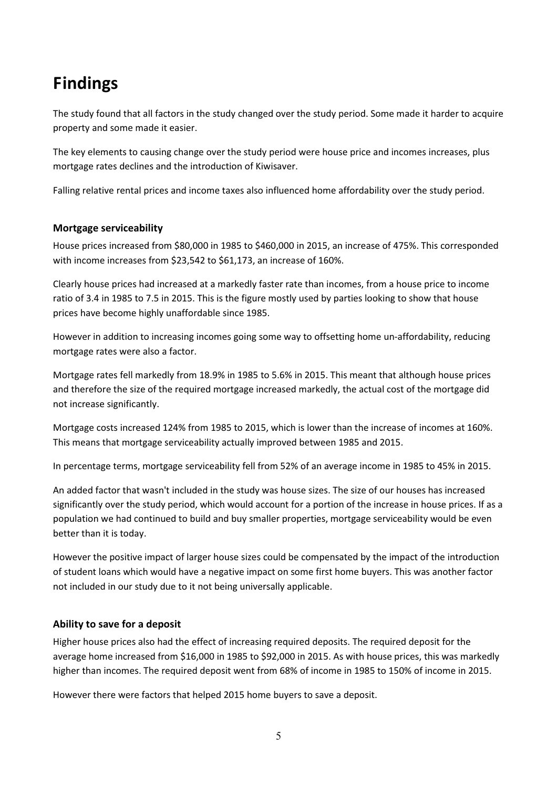## Findings

The study found that all factors in the study changed over the study period. Some made it harder to acquire property and some made it easier.

The key elements to causing change over the study period were house price and incomes increases, plus mortgage rates declines and the introduction of Kiwisaver.

Falling relative rental prices and income taxes also influenced home affordability over the study period.

#### Mortgage serviceability

House prices increased from \$80,000 in 1985 to \$460,000 in 2015, an increase of 475%. This corresponded with income increases from \$23,542 to \$61,173, an increase of 160%.

Clearly house prices had increased at a markedly faster rate than incomes, from a house price to income ratio of 3.4 in 1985 to 7.5 in 2015. This is the figure mostly used by parties looking to show that house prices have become highly unaffordable since 1985.

However in addition to increasing incomes going some way to offsetting home un-affordability, reducing mortgage rates were also a factor.

Mortgage rates fell markedly from 18.9% in 1985 to 5.6% in 2015. This meant that although house prices and therefore the size of the required mortgage increased markedly, the actual cost of the mortgage did not increase significantly.

Mortgage costs increased 124% from 1985 to 2015, which is lower than the increase of incomes at 160%. This means that mortgage serviceability actually improved between 1985 and 2015.

In percentage terms, mortgage serviceability fell from 52% of an average income in 1985 to 45% in 2015.

An added factor that wasn't included in the study was house sizes. The size of our houses has increased significantly over the study period, which would account for a portion of the increase in house prices. If as a population we had continued to build and buy smaller properties, mortgage serviceability would be even better than it is today.

However the positive impact of larger house sizes could be compensated by the impact of the introduction of student loans which would have a negative impact on some first home buyers. This was another factor not included in our study due to it not being universally applicable.

### Ability to save for a deposit

Higher house prices also had the effect of increasing required deposits. The required deposit for the average home increased from \$16,000 in 1985 to \$92,000 in 2015. As with house prices, this was markedly higher than incomes. The required deposit went from 68% of income in 1985 to 150% of income in 2015.

However there were factors that helped 2015 home buyers to save a deposit.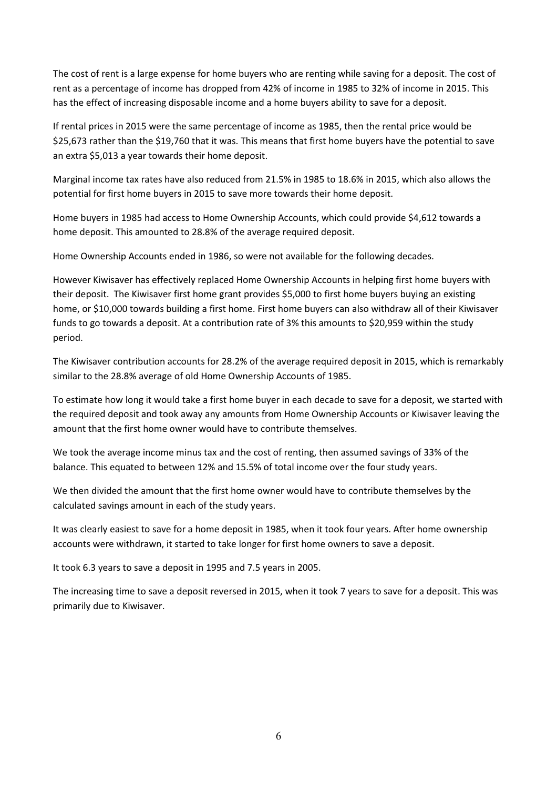The cost of rent is a large expense for home buyers who are renting while saving for a deposit. The cost of rent as a percentage of income has dropped from 42% of income in 1985 to 32% of income in 2015. This has the effect of increasing disposable income and a home buyers ability to save for a deposit.

If rental prices in 2015 were the same percentage of income as 1985, then the rental price would be \$25,673 rather than the \$19,760 that it was. This means that first home buyers have the potential to save an extra \$5,013 a year towards their home deposit.

Marginal income tax rates have also reduced from 21.5% in 1985 to 18.6% in 2015, which also allows the potential for first home buyers in 2015 to save more towards their home deposit.

Home buyers in 1985 had access to Home Ownership Accounts, which could provide \$4,612 towards a home deposit. This amounted to 28.8% of the average required deposit.

Home Ownership Accounts ended in 1986, so were not available for the following decades.

However Kiwisaver has effectively replaced Home Ownership Accounts in helping first home buyers with their deposit. The Kiwisaver first home grant provides \$5,000 to first home buyers buying an existing home, or \$10,000 towards building a first home. First home buyers can also withdraw all of their Kiwisaver funds to go towards a deposit. At a contribution rate of 3% this amounts to \$20,959 within the study period.

The Kiwisaver contribution accounts for 28.2% of the average required deposit in 2015, which is remarkably similar to the 28.8% average of old Home Ownership Accounts of 1985.

To estimate how long it would take a first home buyer in each decade to save for a deposit, we started with the required deposit and took away any amounts from Home Ownership Accounts or Kiwisaver leaving the amount that the first home owner would have to contribute themselves.

We took the average income minus tax and the cost of renting, then assumed savings of 33% of the balance. This equated to between 12% and 15.5% of total income over the four study years.

We then divided the amount that the first home owner would have to contribute themselves by the calculated savings amount in each of the study years.

It was clearly easiest to save for a home deposit in 1985, when it took four years. After home ownership accounts were withdrawn, it started to take longer for first home owners to save a deposit.

It took 6.3 years to save a deposit in 1995 and 7.5 years in 2005.

The increasing time to save a deposit reversed in 2015, when it took 7 years to save for a deposit. This was primarily due to Kiwisaver.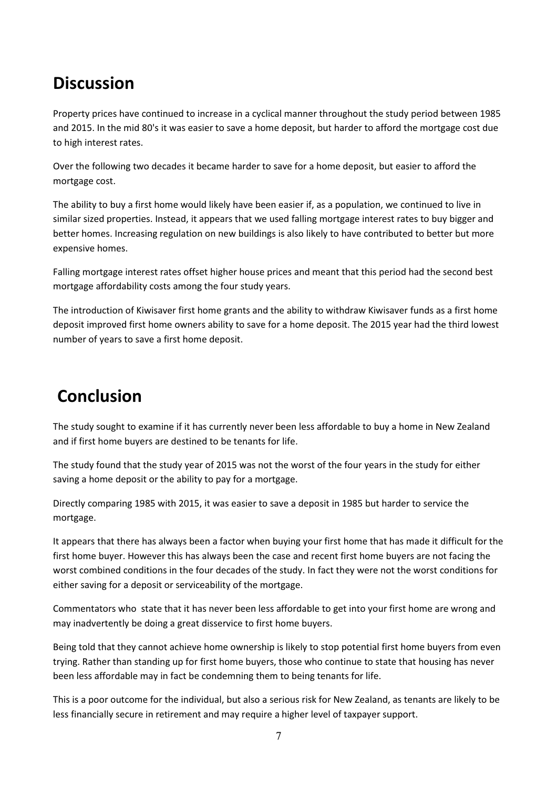### **Discussion**

Property prices have continued to increase in a cyclical manner throughout the study period between 1985 and 2015. In the mid 80's it was easier to save a home deposit, but harder to afford the mortgage cost due to high interest rates.

Over the following two decades it became harder to save for a home deposit, but easier to afford the mortgage cost.

The ability to buy a first home would likely have been easier if, as a population, we continued to live in similar sized properties. Instead, it appears that we used falling mortgage interest rates to buy bigger and better homes. Increasing regulation on new buildings is also likely to have contributed to better but more expensive homes.

Falling mortgage interest rates offset higher house prices and meant that this period had the second best mortgage affordability costs among the four study years.

The introduction of Kiwisaver first home grants and the ability to withdraw Kiwisaver funds as a first home deposit improved first home owners ability to save for a home deposit. The 2015 year had the third lowest number of years to save a first home deposit.

### Conclusion

The study sought to examine if it has currently never been less affordable to buy a home in New Zealand and if first home buyers are destined to be tenants for life.

The study found that the study year of 2015 was not the worst of the four years in the study for either saving a home deposit or the ability to pay for a mortgage.

Directly comparing 1985 with 2015, it was easier to save a deposit in 1985 but harder to service the mortgage.

It appears that there has always been a factor when buying your first home that has made it difficult for the first home buyer. However this has always been the case and recent first home buyers are not facing the worst combined conditions in the four decades of the study. In fact they were not the worst conditions for either saving for a deposit or serviceability of the mortgage.

Commentators who state that it has never been less affordable to get into your first home are wrong and may inadvertently be doing a great disservice to first home buyers.

Being told that they cannot achieve home ownership is likely to stop potential first home buyers from even trying. Rather than standing up for first home buyers, those who continue to state that housing has never been less affordable may in fact be condemning them to being tenants for life.

This is a poor outcome for the individual, but also a serious risk for New Zealand, as tenants are likely to be less financially secure in retirement and may require a higher level of taxpayer support.